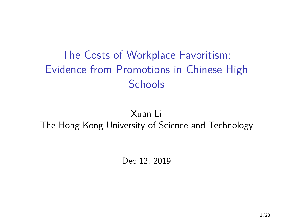# <span id="page-0-0"></span>The Costs of Workplace Favoritism: Evidence from Promotions in Chinese High **Schools**

#### Xuan Li The Hong Kong University of Science and Technology

Dec 12, 2019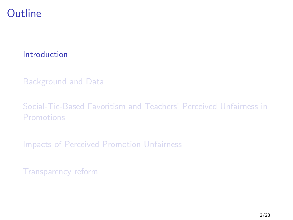### <span id="page-1-0"></span>**Outline**

#### [Introduction](#page-1-0)

#### [Background and Data](#page-14-0)

#### [Social-Tie-Based Favoritism and Teachers' Perceived Unfairness in](#page-18-0) [Promotions](#page-18-0)

[Impacts of Perceived Promotion Unfairness](#page-22-0)

[Transparency reform](#page-43-0)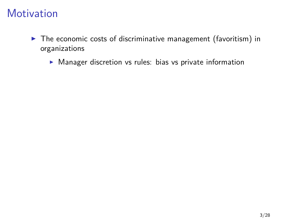- $\triangleright$  The economic costs of discriminative management (favoritism) in organizations
	- $\blacktriangleright$  Manager discretion vs rules: bias vs private information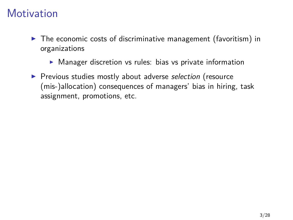- $\triangleright$  The economic costs of discriminative management (favoritism) in organizations
	- $\triangleright$  Manager discretion vs rules: bias vs private information
- **Perious studies mostly about adverse selection (resource** (mis-)allocation) consequences of managers' bias in hiring, task assignment, promotions, etc.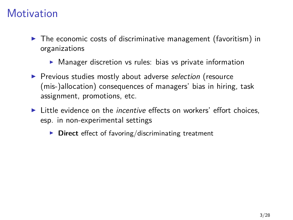- $\triangleright$  The economic costs of discriminative management (favoritism) in organizations
	- $\triangleright$  Manager discretion vs rules: bias vs private information
- **Perious studies mostly about adverse selection (resource** (mis-)allocation) consequences of managers' bias in hiring, task assignment, promotions, etc.
- $\blacktriangleright$  Little evidence on the *incentive* effects on workers' effort choices, esp. in non-experimental settings
	- **Direct** effect of favoring/discriminating treatment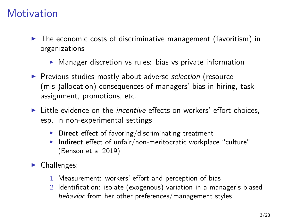- $\triangleright$  The economic costs of discriminative management (favoritism) in organizations
	- $\triangleright$  Manager discretion vs rules: bias vs private information
- **Perious studies mostly about adverse selection (resource** (mis-)allocation) consequences of managers' bias in hiring, task assignment, promotions, etc.
- $\blacktriangleright$  Little evidence on the *incentive* effects on workers' effort choices, esp. in non-experimental settings
	- **Direct** effect of favoring/discriminating treatment
	- **Indirect** effect of unfair/non-meritocratic workplace "culture" (Benson et al 2019)
- $\blacktriangleright$  Challenges:
	- 1 Measurement: workers' effort and perception of bias
	- 2 Identification: isolate (exogenous) variation in a manager's biased behavior from her other preferences/management styles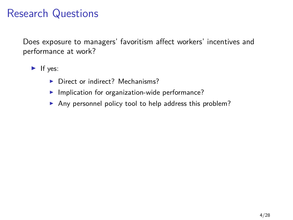## Research Questions

Does exposure to managers' favoritism affect workers' incentives and performance at work?

 $\blacktriangleright$  If yes:

- ▶ Direct or indirect? Mechanisms?
- $\blacktriangleright$  Implication for organization-wide performance?
- Any personnel policy tool to help address this problem?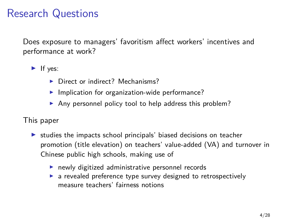## Research Questions

Does exposure to managers' favoritism affect workers' incentives and performance at work?

 $\blacktriangleright$  If yes:

- ▶ Direct or indirect? Mechanisms?
- $\blacktriangleright$  Implication for organization-wide performance?
- Any personnel policy tool to help address this problem?

#### This paper

- $\triangleright$  studies the impacts school principals' biased decisions on teacher promotion (title elevation) on teachers' value-added (VA) and turnover in Chinese public high schools, making use of
	- $\blacktriangleright$  newly digitized administrative personnel records
	- $\triangleright$  a revealed preference type survey designed to retrospectively measure teachers' fairness notions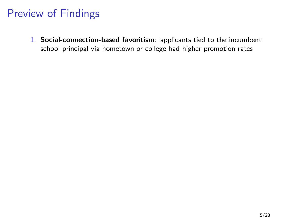1. **Social-connection-based favoritism**: applicants tied to the incumbent school principal via hometown or college had higher promotion rates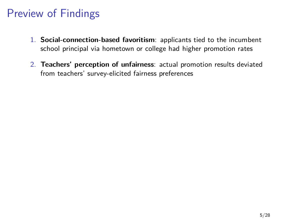- 1. **Social-connection-based favoritism**: applicants tied to the incumbent school principal via hometown or college had higher promotion rates
- 2. **Teachers' perception of unfairness**: actual promotion results deviated from teachers' survey-elicited fairness preferences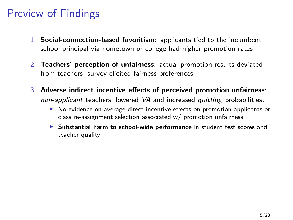- 1. **Social-connection-based favoritism**: applicants tied to the incumbent school principal via hometown or college had higher promotion rates
- 2. **Teachers' perception of unfairness**: actual promotion results deviated from teachers' survey-elicited fairness preferences
- 3. **Adverse indirect incentive effects of perceived promotion unfairness**: non-applicant teachers' lowered VA and increased quitting probabilities.
	- $\triangleright$  No evidence on average direct incentive effects on promotion applicants or class re-assignment selection associated w/ promotion unfairness
	- **EXECUTE:** Substantial harm to school-wide performance in student test scores and teacher quality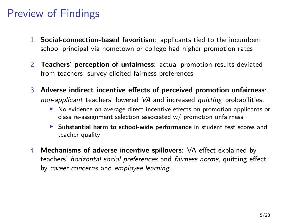- 1. **Social-connection-based favoritism**: applicants tied to the incumbent school principal via hometown or college had higher promotion rates
- 2. **Teachers' perception of unfairness**: actual promotion results deviated from teachers' survey-elicited fairness preferences
- 3. **Adverse indirect incentive effects of perceived promotion unfairness**: non-applicant teachers' lowered VA and increased quitting probabilities.
	- $\triangleright$  No evidence on average direct incentive effects on promotion applicants or class re-assignment selection associated w/ promotion unfairness
	- **In Substantial harm to school-wide performance** in student test scores and teacher quality
- 4. **Mechanisms of adverse incentive spillovers**: VA effect explained by teachers' horizontal social preferences and fairness norms, quitting effect by career concerns and employee learning.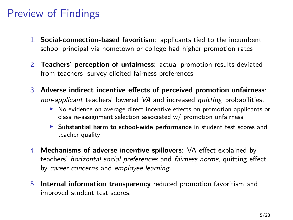- 1. **Social-connection-based favoritism**: applicants tied to the incumbent school principal via hometown or college had higher promotion rates
- 2. **Teachers' perception of unfairness**: actual promotion results deviated from teachers' survey-elicited fairness preferences
- 3. **Adverse indirect incentive effects of perceived promotion unfairness**: non-applicant teachers' lowered VA and increased quitting probabilities.
	- $\triangleright$  No evidence on average direct incentive effects on promotion applicants or class re-assignment selection associated w/ promotion unfairness
	- **In Substantial harm to school-wide performance** in student test scores and teacher quality
- 4. **Mechanisms of adverse incentive spillovers**: VA effect explained by teachers' horizontal social preferences and fairness norms, quitting effect by career concerns and employee learning.
- 5. **Internal information transparency** reduced promotion favoritism and improved student test scores.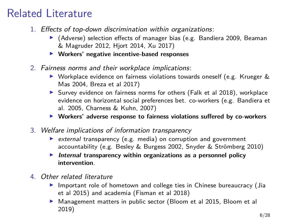# Related Literature

- 1. Effects of top-down discrimination within organizations:
	- $\blacktriangleright$  (Adverse) selection effects of manager bias (e.g. Bandiera 2009, Beaman & Magruder 2012, Hjort 2014, Xu 2017)
	- ▶ Workers' negative incentive-based responses
- 2. Fairness norms and their workplace implications:
	- $\triangleright$  Workplace evidence on fairness violations towards oneself (e.g. Krueger & Mas 2004, Breza et al 2017)
	- $\triangleright$  Survey evidence on fairness norms for others (Falk et al 2018), workplace evidence on horizontal social preferences bet. co-workers (e.g. Bandiera et al. 2005, Charness & Kuhn, 2007)
	- **Workers' adverse response to fairness violations suffered by co-workers**
- 3. Welfare implications of information transparency
	- $\triangleright$  external transparency (e.g. media) on corruption and government accountability (e.g. Besley & Burgess 2002, Snyder & Strömberg 2010)
	- **Internal transparency within organizations as a personnel policy intervention**.
- 4. Other related literature
	- $\blacktriangleright$  Important role of hometown and college ties in Chinese bureaucracy (Jia et al 2015) and academia (Fisman et al 2018)
	- ▶ Management matters in public sector (Bloom et al 2015, Bloom et al 2019)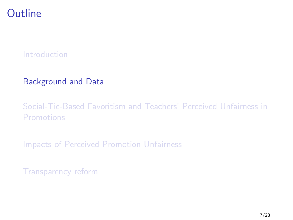#### <span id="page-14-0"></span>**Outline**

#### [Introduction](#page-1-0)

#### [Background and Data](#page-14-0)

#### [Social-Tie-Based Favoritism and Teachers' Perceived Unfairness in](#page-18-0) [Promotions](#page-18-0)

[Impacts of Perceived Promotion Unfairness](#page-22-0)

[Transparency reform](#page-43-0)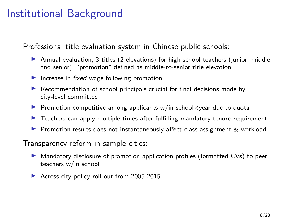#### Institutional Background

Professional title evaluation system in Chinese public schools:

- $\triangleright$  Annual evaluation, 3 titles (2 elevations) for high school teachers (junior, middle and senior), "promotion" defined as middle-to-senior title elevation
- Increase in *fixed* wage following promotion
- $\triangleright$  Recommendation of school principals crucial for final decisions made by city-level committee
- **Promotion competitive among applicants w/in school** $\times$ year due to quota
- $\blacktriangleright$  Teachers can apply multiple times after fulfilling mandatory tenure requirement
- **Promotion results does not instantaneously affect class assignment**  $\&$  **workload**

Transparency reform in sample cities:

- In Mandatory disclosure of promotion application profiles (formatted CVs) to peer teachers w/in school
- ▶ Across-city policy roll out from 2005-2015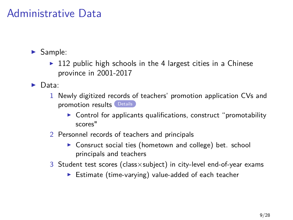#### Administrative Data

- <span id="page-16-0"></span> $\blacktriangleright$  Sample:
	- $\triangleright$  112 public high schools in the 4 largest cities in a Chinese province in 2001-2017
- $\blacktriangleright$  Data:
	- 1 Newly digitized records of teachers' promotion application CVs and promotion results [Details](#page-49-0)
		- $\triangleright$  Control for applicants qualifications, construct "promotability scores"
	- 2 Personnel records of teachers and principals
		- $\triangleright$  Consruct social ties (hometown and college) bet. school principals and teachers
	- 3 Student test scores (class×subject) in city-level end-of-year exams
		- $\triangleright$  Estimate (time-varying) value-added of each teacher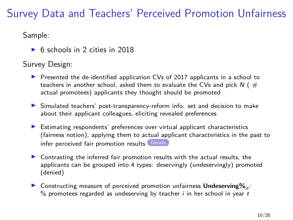# Survey Data and Teachers' Perceived Promotion Unfairness

<span id="page-17-0"></span>Sample:

 $\triangleright$  6 schools in 2 cities in 2018

Survey Design:

- $\triangleright$  Presented the de-identified application CVs of 2017 applicants in a school to teachers in another school, asked them to evaluate the CVs and pick  $N$  ( $#$ actual promotees) applicants they thought should be promoted
- In Simulated teachers' post-transparency-reform info. set and decision to make about their applicant colleagues, eliciting revealed preferences
- $\blacktriangleright$  Estimating respondents' preferences over virtual applicant characteristics (fairness notion), applying them to actual applicant characteristics in the past to infer perceived fair promotion results [Details](#page-50-0)
- $\triangleright$  Contrasting the inferred fair promotion results with the actual results, the applicants can be grouped into 4 types: deservingly (undeservingly) promoted (denied)
- **In Constructing measure of perceived promotion unfairness Undeserving%<sub>it</sub>:**  $%$  promotees regarded as undeserving by teacher *i* in her school in year *t*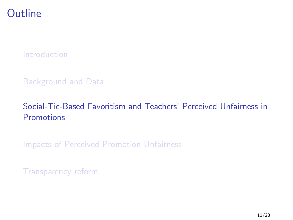#### <span id="page-18-0"></span>**Outline**

[Introduction](#page-1-0)

#### [Background and Data](#page-14-0)

#### [Social-Tie-Based Favoritism and Teachers' Perceived Unfairness in](#page-18-0) [Promotions](#page-18-0)

[Impacts of Perceived Promotion Unfairness](#page-22-0)

[Transparency reform](#page-43-0)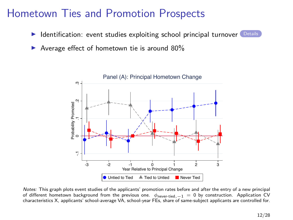#### Hometown Ties and Promotion Prospects

- <span id="page-19-0"></span>Identification: event studies exploiting school principal turnover [Details](#page-51-0)
- Average effect of hometown tie is around 80%



Notes: This graph plots event studies of the applicants' promotion rates before and after the entry of a new principal of different hometown background from the previous one. *φ*never-tied*,*−<sup>1</sup> = 0 by construction. Application CV characteristics X, applicants' school-average VA, school-year FEs, share of same-subject applicants are controlled for.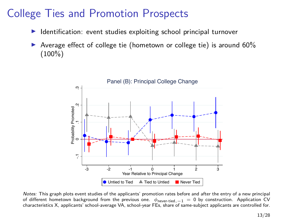# College Ties and Promotion Prospects

- Identification: event studies exploiting school principal turnover
- Average effect of college tie (hometown or college tie) is around 60% (100%)



Notes: This graph plots event studies of the applicants' promotion rates before and after the entry of a new principal of different hometown background from the previous one. *φ*never-tied*,*−<sup>1</sup> = 0 by construction. Application CV characteristics X, applicants' school-average VA, school-year FEs, share of same-subject applicants are controlled for.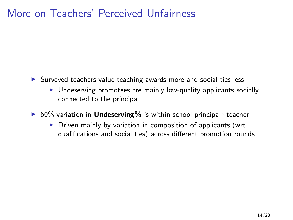#### More on Teachers' Perceived Unfairness

- ▶ Surveyed teachers value teaching awards more and social ties less
	- $\triangleright$  Undeserving promotees are mainly low-quality applicants socially connected to the principal
- 60% variation in **Undeserving%** is within school-principal×teacher
	- $\triangleright$  Driven mainly by variation in composition of applicants (wrt qualifications and social ties) across different promotion rounds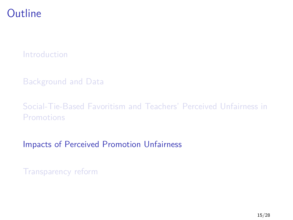#### <span id="page-22-0"></span>**Outline**

[Introduction](#page-1-0)

[Background and Data](#page-14-0)

[Social-Tie-Based Favoritism and Teachers' Perceived Unfairness in](#page-18-0) [Promotions](#page-18-0)

[Impacts of Perceived Promotion Unfairness](#page-22-0)

[Transparency reform](#page-43-0)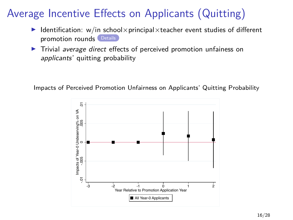# Average Incentive Effects on Applicants (Quitting)

- <span id="page-23-0"></span>Identification: w/in school $\times$ principal $\times$ teacher event studies of different promotion rounds [Details](#page-52-0)
- $\blacktriangleright$  Trivial average direct effects of perceived promotion unfainess on applicants' quitting probability



Impacts of Perceived Promotion Unfairness on Applicants' Quitting Probability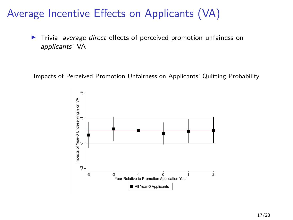### Average Incentive Effects on Applicants (VA)

 $\triangleright$  Trivial average direct effects of perceived promotion unfainess on applicants' VA

Impacts of Perceived Promotion Unfairness on Applicants' Quitting Probability

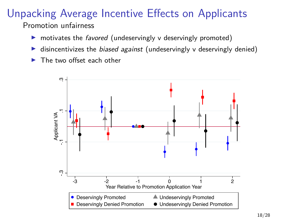#### Unpacking Average Incentive Effects on Applicants Promotion unfairness

- $\triangleright$  motivates the *favored* (undeservingly v deservingly promoted)
- ighthroata integrativizes the *biased against* (undeservingly v deservingly denied)
- The two offset each other

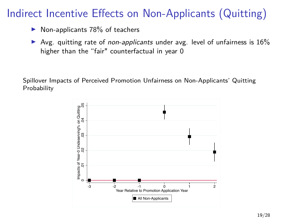# Indirect Incentive Effects on Non-Applicants (Quitting)

- Non-applicants 78% of teachers
- Avg. quitting rate of *non-applicants* under avg. level of unfairness is  $16\%$ higher than the "fair" counterfactual in year 0

Spillover Impacts of Perceived Promotion Unfairness on Non-Applicants' Quitting Probability

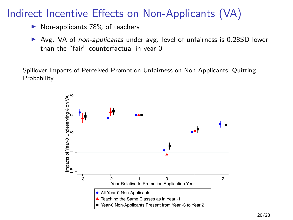## Indirect Incentive Effects on Non-Applicants (VA)

- $\triangleright$  Non-applicants 78% of teachers
- ▶ Avg. VA of non-applicants under avg. level of unfairness is 0.28SD lower than the "fair" counterfactual in year 0

Spillover Impacts of Perceived Promotion Unfairness on Non-Applicants' Quitting Probability

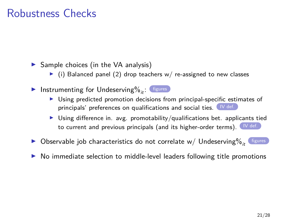#### Robustness Checks

<span id="page-28-0"></span> $\triangleright$  Sample choices (in the VA analysis)

- $\triangleright$  (i) Balanced panel (2) drop teachers w/ re-assigned to new classes
- Instrumenting for Undeserving $\%_{it}$ : [figures](#page-54-0)
	- $\triangleright$  Using predicted promotion decisions from principal-specific estimates of principals' preferences on qualifications and social ties. [IV def.](#page-0-0)
	- I Using difference in. avg. promotability/qualifications bet. applicants tied to current and previous principals (and its higher-order terms). [IV def.](#page-0-0)
- $\blacktriangleright$  Observable job characteristics do not correlate w/ Undeserving $\%_{it}$  ([figures](#page-53-0)
- I No immediate selection to middle-level leaders following title promotions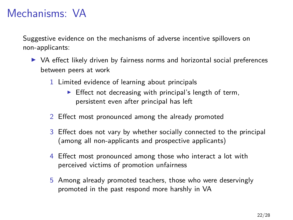## Mechanisms: VA

Suggestive evidence on the mechanisms of adverse incentive spillovers on non-applicants:

- $\triangleright$  VA effect likely driven by fairness norms and horizontal social preferences between peers at work
	- 1 Limited evidence of learning about principals
		- $\blacktriangleright$  Effect not decreasing with principal's length of term, persistent even after principal has left
	- 2 Effect most pronounced among the already promoted
	- 3 Effect does not vary by whether socially connected to the principal (among all non-applicants and prospective applicants)
	- 4 Effect most pronounced among those who interact a lot with perceived victims of promotion unfairness
	- 5 Among already promoted teachers, those who were deservingly promoted in the past respond more harshly in VA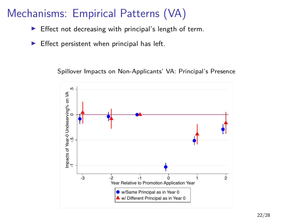- $\blacktriangleright$  Effect not decreasing with principal's length of term.
- $\blacktriangleright$  Effect persistent when principal has left.

Spillover Impacts on Non-Applicants' VA: Principal's Presence

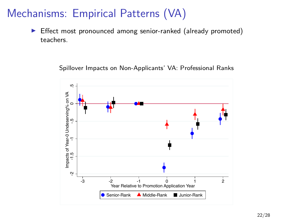**Effect most pronounced among senior-ranked (already promoted)** teachers.

Spillover Impacts on Non-Applicants' VA: Professional Ranks

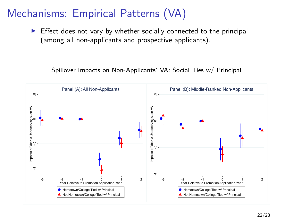$\triangleright$  Effect does not vary by whether socially connected to the principal (among all non-applicants and prospective applicants).

Spillover Impacts on Non-Applicants' VA: Social Ties w/ Principal

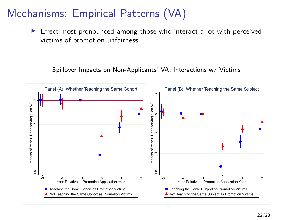$\blacktriangleright$  Effect most pronounced among those who interact a lot with perceived victims of promotion unfairness.

Spillover Impacts on Non-Applicants' VA: Interactions w/ Victims

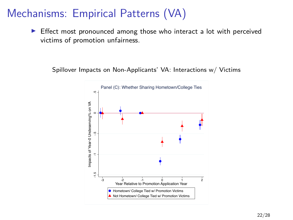$\blacktriangleright$  Effect most pronounced among those who interact a lot with perceived victims of promotion unfairness.

Spillover Impacts on Non-Applicants' VA: Interactions w/ Victims

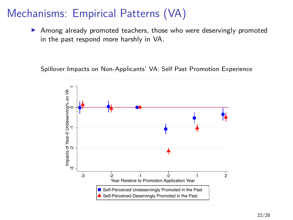Among already promoted teachers, those who were deservingly promoted in the past respond more harshly in VA.

Spillover Impacts on Non-Applicants' VA: Self Past Promotion Experience

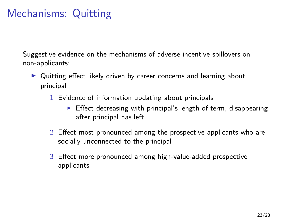# Mechanisms: Quitting

Suggestive evidence on the mechanisms of adverse incentive spillovers on non-applicants:

- ▶ Quitting effect likely driven by career concerns and learning about principal
	- 1 Evidence of information updating about principals
		- $\triangleright$  Effect decreasing with principal's length of term, disappearing after principal has left
	- 2 Effect most pronounced among the prospective applicants who are socially unconnected to the principal
	- 3 Effect more pronounced among high-value-added prospective applicants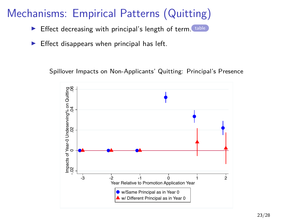- $\triangleright$  Effect decreasing with principal's length of term. [table](#page-0-0)
- $\blacktriangleright$  Effect disappears when principal has left.

Spillover Impacts on Non-Applicants' Quitting: Principal's Presence

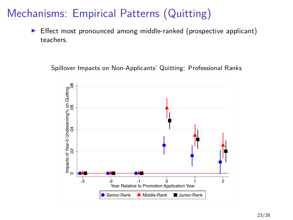$\triangleright$  Effect most pronounced among middle-ranked (prospective applicant) teachers.

Spillover Impacts on Non-Applicants' Quitting: Professional Ranks

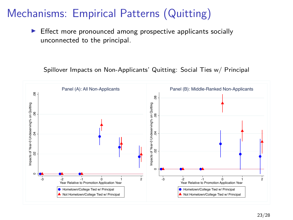$\blacktriangleright$  Effect more pronounced among prospective applicants socially unconnected to the principal.

Spillover Impacts on Non-Applicants' Quitting: Social Ties w/ Principal

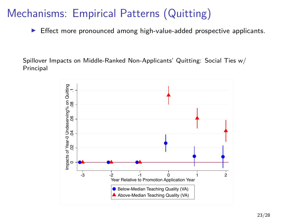$\blacktriangleright$  Effect more pronounced among high-value-added prospective applicants.

Spillover Impacts on Middle-Ranked Non-Applicants' Quitting: Social Ties w/ Principal

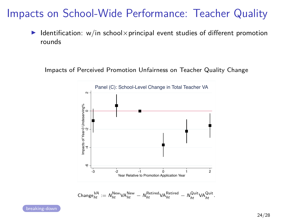## Impacts on School-Wide Performance: Teacher Quality

<span id="page-41-0"></span>I Identification: w/in school×principal event studies of different promotion rounds

Impacts of Perceived Promotion Unfairness on Teacher Quality Change



$$
\mathsf{Change}_{ht}^{\mathsf{VA}} := \mathsf{N}^{\mathsf{New}}_{ht} \mathsf{VA}_{ht}^{\mathsf{New}} - \mathsf{N}^{\mathsf{Retired}}_{ht} \mathsf{VA}_{ht}^{\mathsf{Retired}} - \mathsf{N}^{\mathsf{Quit}}_{ht} \mathsf{VA}_{ht}^{\mathsf{Quit}}.
$$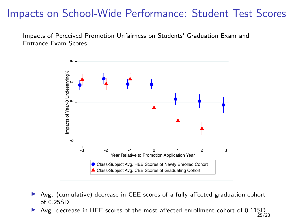#### Impacts on School-Wide Performance: Student Test Scores

Impacts of Perceived Promotion Unfairness on Students' Graduation Exam and Entrance Exam Scores



- Avg. (cumulative) decrease in CEE scores of a fully affected graduation cohort of 0.25SD
- Avg. decrease in HEE scores of the most affected enrollment cohort of 0.11SD 25/28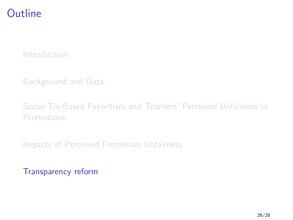#### <span id="page-43-0"></span>**Outline**

[Introduction](#page-1-0)

[Background and Data](#page-14-0)

[Social-Tie-Based Favoritism and Teachers' Perceived Unfairness in](#page-18-0) [Promotions](#page-18-0)

[Impacts of Perceived Promotion Unfairness](#page-22-0)

[Transparency reform](#page-43-0)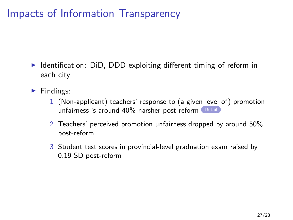# Impacts of Information Transparency

- <span id="page-44-0"></span> $\triangleright$  Identification: DiD, DDD exploiting different timing of reform in each city
- $\blacktriangleright$  Findings:
	- 1 (Non-applicant) teachers' response to (a given level of) promotion unfairness is around 40% harsher post-reform
	- 2 Teachers' perceived promotion unfairness dropped by around 50% post-reform
	- 3 Student test scores in provincial-level graduation exam raised by 0.19 SD post-reform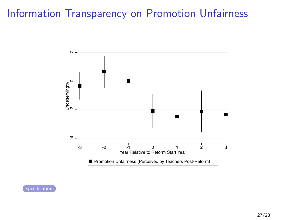## Information Transparency on Promotion Unfairness

<span id="page-45-0"></span>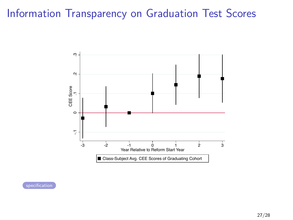# <span id="page-46-0"></span>Information Transparency on Graduation Test Scores

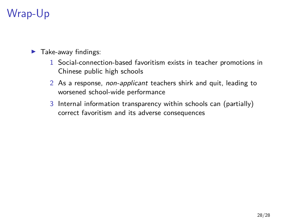# Wrap-Up

 $\blacktriangleright$  Take-away findings:

- 1 Social-connection-based favoritism exists in teacher promotions in Chinese public high schools
- 2 As a response, non-applicant teachers shirk and quit, leading to worsened school-wide performance
- 3 Internal information transparency within schools can (partially) correct favoritism and its adverse consequences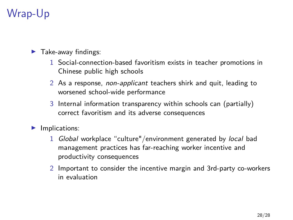# Wrap-Up

 $\blacktriangleright$  Take-away findings:

- 1 Social-connection-based favoritism exists in teacher promotions in Chinese public high schools
- 2 As a response, non-applicant teachers shirk and quit, leading to worsened school-wide performance
- 3 Internal information transparency within schools can (partially) correct favoritism and its adverse consequences
- $\blacktriangleright$  Implications:
	- 1 Global workplace "culture"/environment generated by local bad management practices has far-reaching worker incentive and productivity consequences
	- 2 Important to consider the incentive margin and 3rd-party co-workers in evaluation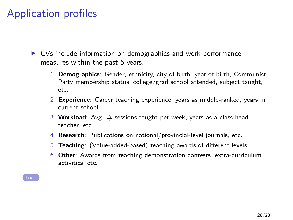# Application profiles

<span id="page-49-0"></span> $\triangleright$  CVs include information on demographics and work performance measures within the past 6 years.

- 1 **Demographics**: Gender, ethnicity, city of birth, year of birth, Communist Party membership status, college/grad school attended, subject taught, etc.
- 2 **Experience**: Career teaching experience, years as middle-ranked, years in current school.
- 3 **Workload**: Avg. # sessions taught per week, years as a class head teacher, etc.
- 4 **Research**: Publications on national/provincial-level journals, etc.
- 5 **Teaching**: (Value-added-based) teaching awards of different levels.
- 6 **Other**: Awards from teaching demonstration contests, extra-curriculum activities, etc.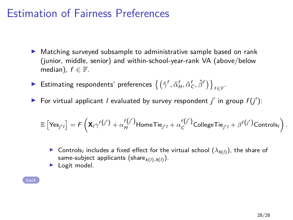#### Estimation of Fairness Preferences

- <span id="page-50-0"></span> $\blacktriangleright$  Matching surveyed subsample to administrative sample based on rank (junior, middle, senior) and within-school-year-rank VA (above/below median),  $f \in \mathbb{F}$ .
- ► Estimating respondents' preferences  $\{(\hat{\gamma}^f, \hat{\alpha}^f_H, \hat{\alpha}^f_C, \hat{\beta}^f)\}_{f \in \mathbb{F}}$
- ▶ For virtual applicant *l* evaluated by survey respondent  $j'$  in group  $f(j')$ :

$$
\mathbb{E}\left[\mathrm{Yes}_{j'l'}\right] = \mathcal{F}\left(\mathbf{X}_{l}\gamma^{f(j')} + \alpha^{f(j')}_{H}\mathrm{HomeTie}_{j'l} + \alpha^{f(j')}_{C}\mathrm{Collectie}_{j'l} + \beta^{f(j')}_{C\mathrm{ontrols}_l}\right).
$$

- ▶ Controls<sub>I</sub> includes a fixed effect for the virtual school  $(\lambda_{h(l)})$ , the share of same-subject applicants (share $_{k(l),h(l)})$ .
- Logit model.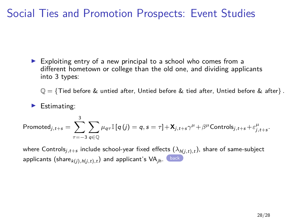### Social Ties and Promotion Prospects: Event Studies

<span id="page-51-0"></span> $\triangleright$  Exploiting entry of a new principal to a school who comes from a different hometown or college than the old one, and dividing applicants into 3 types:

Q = {Tied before & untied after, Untied before & tied after, Untied before & after} *.*

 $\blacktriangleright$  Estimating:

$$
\mathsf{Promoted}_{j,t+s} = \sum_{\tau=-3}^{3} \sum_{q \in \mathbb{Q}} \mu_{q\tau} \mathbb{I}\left[q\left(j\right)=q, s=\tau\right] + \mathbf{X}_{j,t+s} \gamma^{\mu} + \beta^{\mu} \mathsf{Controls}_{j,t+s} + \varepsilon^{\mu}_{j,t+s}.
$$

where Controls $_{j,t+s}$  include school-year fixed effects  $(\lambda_{h(j,t),t})$ , share of same-subject applicants  $(\mathsf{share}_{k(j),h(j,t),t})$  and applicant's  $\mathsf{VA}_{jh}$ .  $\Box$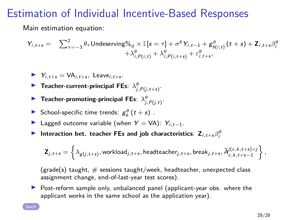#### Estimation of Individual Incentive-Based Responses

<span id="page-52-0"></span>Main estimation equation:

$$
Y_{i,t+s} = \sum_{\tau=-3}^{2} \theta_{\tau} \text{Undeserving}\n\%_{it} \times \mathbb{I}\left[s = \tau\right] + \sigma^{\theta} Y_{i,t-1} + g^{\theta}_{h(i,t)}\left(t+s\right) + \mathbf{Z}_{i,t+s}\beta^{\theta}_{i} + \lambda^{\theta}_{i,P(i,t)} + \lambda^{\theta}_{i,P(i,t+s)} + \varepsilon^{\theta}_{i,t+s},
$$

- $Y_{i,t+s} = VA_{i,t+s}$ , Leave<sub>i,t+s</sub>.
- **F Teacher-current-principal FEs**:  $\lambda_{j,P(j,t+s)}^{\theta}$ .
- **F Teacher-promoting-principal FEs:**  $\lambda^{\theta}_{j,P(j,t)}$ **.**
- School-specific time trends:  $g_h^{\theta}(t+s)$ .
- <sup>I</sup> Lagged outcome variable (when <sup>Y</sup> <sup>=</sup> VA): <sup>Y</sup>i*,*t−1.
- **Interaction bet. teacher FEs and job characteristics:**  $\mathbf{Z}_{i,t+s}\beta_i^{\theta}$

$$
\mathbf{Z}_{j,t+s} = \left\{\lambda_{\mathcal{g}(j,t+s)},\text{workload}_{j,t+s},\text{headteacher}_{j,t+s},\text{break}_{j,t+s},\bar{A}_{c,k,t+s-1}^{j(c,k,t+s)=j}\right\},
$$

(grade(s) taught,  $\#$  sessions taught/week, headteacher, unexpected class assignment change, end-of-last-year test scores).

 $\triangleright$  Post-reform sample only, unbalanced panel (applicant-year obs. where the applicant works in the same school as the application year).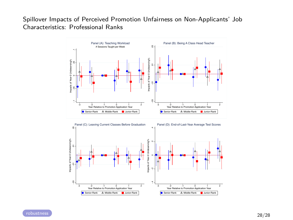#### <span id="page-53-0"></span>Spillover Impacts of Perceived Promotion Unfairness on Non-Applicants' Job Characteristics: Professional Ranks



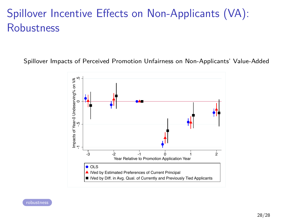# Spillover Incentive Effects on Non-Applicants (VA): **Robustness**

<span id="page-54-0"></span>Spillover Impacts of Perceived Promotion Unfairness on Non-Applicants' Value-Added



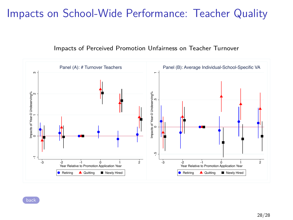## <span id="page-55-0"></span>Impacts on School-Wide Performance: Teacher Quality



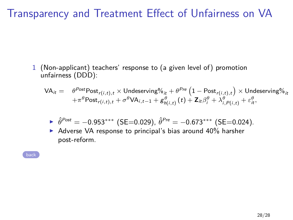# Transparency and Treatment Effect of Unfairness on VA

<span id="page-56-0"></span>1 (Non-applicant) teachers' response to (a given level of) promotion unfairness (DDD):

$$
\begin{array}{lll} \mathsf{VA}_{it} = & \theta^{Post} \mathsf{Post}_{r(i,t),t} \times \mathsf{Understanding} \%_{it} + \theta^{Pre} \left( 1 - \mathsf{Post}_{r(i,t),t} \right) \times \mathsf{Understanding} \%_{it} \\ & & + \pi^{\theta} \mathsf{Post}_{r(i,t),t} + \sigma^{\theta} \mathsf{VA}_{i,t-1} + g^{\theta}_{h(i,t)} \left( t \right) + \mathsf{Z}_{it} \beta^{\theta}_{i} + \lambda^{\theta}_{i,P(i,t)} + \varepsilon^{\theta}_{it}, \end{array}
$$

• 
$$
\hat{\theta}^{Post} = -0.953^{***}
$$
 (SE=0.029),  $\hat{\theta}^{Pre} = -0.673^{***}$  (SE=0.024).

 $\triangleright$  Adverse VA response to principal's bias around 40% harsher post-reform.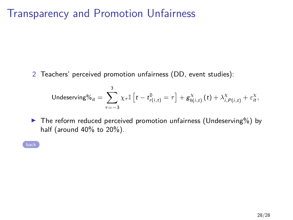#### Transparency and Promotion Unfairness

<span id="page-57-0"></span>2 Teachers' perceived promotion unfairness (DD, event studies):

$$
\mathsf{Undeserving}\%_{it}=\sum_{\tau=-3}^{3}\chi_{\tau}\mathbb{I}\left[t-t_{r(i,t)}^{0}=\tau\right]+\mathsf{g}_{h(i,t)}^{\chi}\left(t\right)+\lambda_{i,P(i,t)}^{\chi}+\varepsilon_{it}^{\chi},
$$

 $\triangleright$  The reform reduced perceived promotion unfairness (Undeserving%) by half (around 40% to 20%).

[back](#page-45-0)